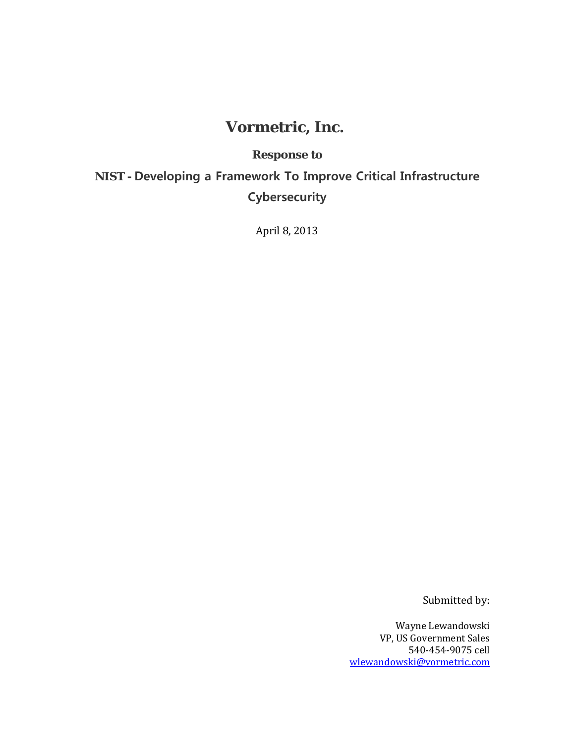# **Vormetric, Inc.**

# **Response to**

**NIST - Developing a Framework To Improve Critical Infrastructure Cybersecurity**

April 8, 2013

Submitted by:

Wayne Lewandowski VP, US Government Sales 540-454-9075 cell [wlewandowski@vormetric.com](mailto:wlewandowski@vormetric.com)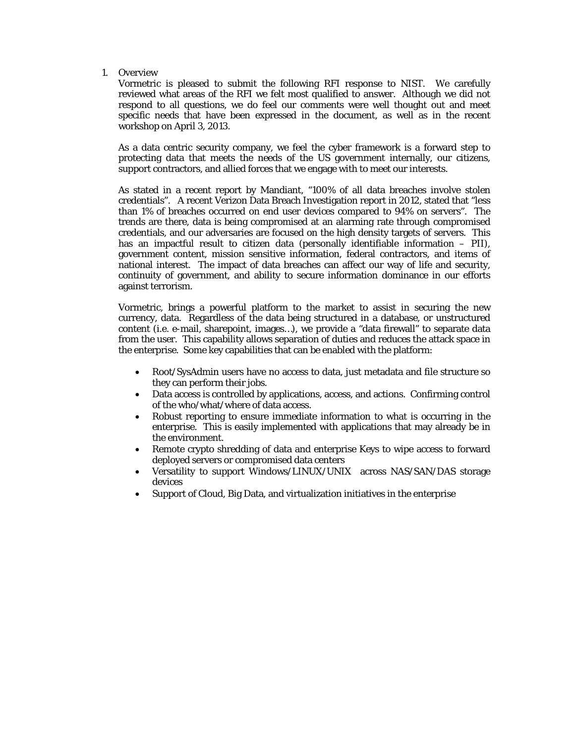1. Overview

Vormetric is pleased to submit the following RFI response to NIST. We carefully reviewed what areas of the RFI we felt most qualified to answer. Although we did not respond to all questions, we do feel our comments were well thought out and meet specific needs that have been expressed in the document, as well as in the recent workshop on April 3, 2013.

As a data centric security company, we feel the cyber framework is a forward step to protecting data that meets the needs of the US government internally, our citizens, support contractors, and allied forces that we engage with to meet our interests.

As stated in a recent report by Mandiant, "100% of all data breaches involve stolen credentials". A recent Verizon Data Breach Investigation report in 2012, stated that "less than 1% of breaches occurred on end user devices compared to 94% on servers". The trends are there, data is being compromised at an alarming rate through compromised credentials, and our adversaries are focused on the high density targets of servers. This has an impactful result to citizen data (personally identifiable information – PII), government content, mission sensitive information, federal contractors, and items of national interest. The impact of data breaches can affect our way of life and security, continuity of government, and ability to secure information dominance in our efforts against terrorism.

Vormetric, brings a powerful platform to the market to assist in securing the new currency, data. Regardless of the data being structured in a database, or unstructured content (i.e. e-mail, sharepoint, images…), we provide a "data firewall" to separate data from the user. This capability allows separation of duties and reduces the attack space in the enterprise. Some key capabilities that can be enabled with the platform:

- Root/SysAdmin users have no access to data, just metadata and file structure so they can perform their jobs.
- Data access is controlled by applications, access, and actions. Confirming control of the who/what/where of data access.
- Robust reporting to ensure immediate information to what is occurring in the enterprise. This is easily implemented with applications that may already be in the environment.
- Remote crypto shredding of data and enterprise Keys to wipe access to forward deployed servers or compromised data centers
- Versatility to support Windows/LINUX/UNIX across NAS/SAN/DAS storage devices
- Support of Cloud, Big Data, and virtualization initiatives in the enterprise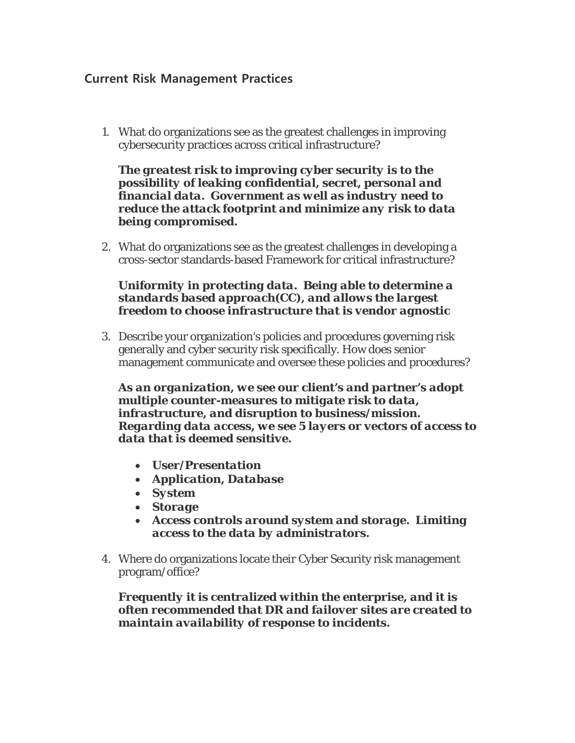# **Current Risk Management Practices**

1. What do organizations see as the greatest challenges in improving cybersecurity practices across critical infrastructure?

*The greatest risk to improving cyber security is to the possibility of leaking confidential, secret, personal and financial data. Government as well as industry need to reduce the attack footprint and minimize any risk to data being compromised.*

2. What do organizations see as the greatest challenges in developing a cross-sector standards-based Framework for critical infrastructure?

## *Uniformity in protecting data. Being able to determine a standards based approach(CC), and allows the largest freedom to choose infrastructure that is vendor agnostic*

3. Describe your organization's policies and procedures governing risk generally and cyber security risk specifically. How does senior management communicate and oversee these policies and procedures?

*As an organization, we see our client's and partner's adopt multiple counter-measures to mitigate risk to data, infrastructure, and disruption to business/mission. Regarding data access, we see 5 layers or vectors of access to data that is deemed sensitive.* 

- *User/Presentation*
- *Application, Database*
- *System*
- *Storage*
- *Access controls around system and storage. Limiting access to the data by administrators.*
- 4. Where do organizations locate their Cyber Security risk management program/office?

*Frequently it is centralized within the enterprise, and it is often recommended that DR and failover sites are created to maintain availability of response to incidents.*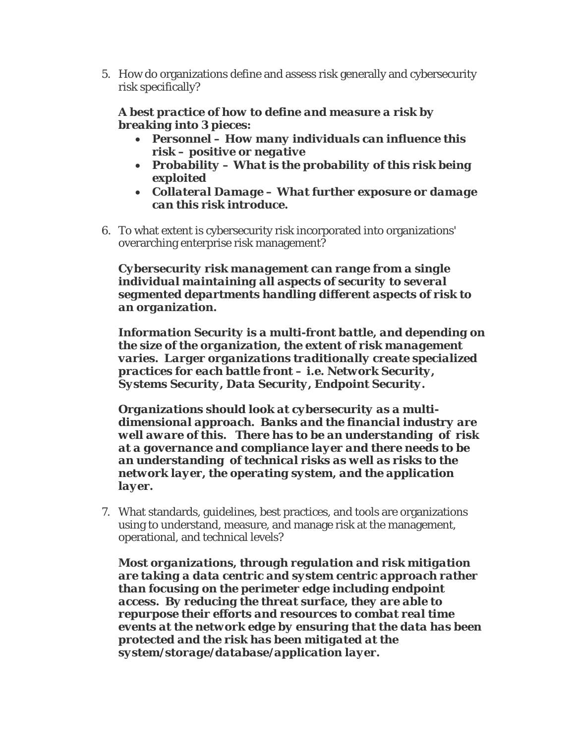5. How do organizations define and assess risk generally and cybersecurity risk specifically?

# *A best practice of how to define and measure a risk by breaking into 3 pieces:*

- *Personnel – How many individuals can influence this risk – positive or negative*
- *Probability – What is the probability of this risk being exploited*
- *Collateral Damage – What further exposure or damage can this risk introduce.*
- 6. To what extent is cybersecurity risk incorporated into organizations' overarching enterprise risk management?

*Cybersecurity risk management can range from a single individual maintaining all aspects of security to several segmented departments handling different aspects of risk to an organization.*

*Information Security is a multi-front battle, and depending on the size of the organization, the extent of risk management varies. Larger organizations traditionally create specialized practices for each battle front – i.e. Network Security, Systems Security, Data Security, Endpoint Security.*

*Organizations should look at cybersecurity as a multidimensional approach. Banks and the financial industry are well aware of this. There has to be an understanding of risk at a governance and compliance layer and there needs to be an understanding of technical risks as well as risks to the network layer, the operating system, and the application layer.*

7. What standards, guidelines, best practices, and tools are organizations using to understand, measure, and manage risk at the management, operational, and technical levels?

*Most organizations, through regulation and risk mitigation are taking a data centric and system centric approach rather than focusing on the perimeter edge including endpoint access. By reducing the threat surface, they are able to repurpose their efforts and resources to combat real time events at the network edge by ensuring that the data has been protected and the risk has been mitigated at the system/storage/database/application layer.*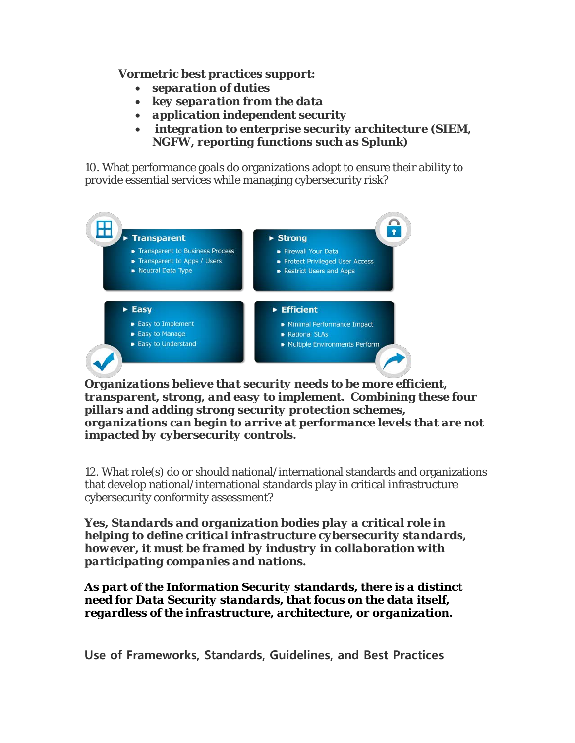## *Vormetric best practices support:*

- *separation of duties*
- *key separation from the data*
- *application independent security*
- *integration to enterprise security architecture (SIEM, NGFW, reporting functions such as Splunk)*

10. What performance goals do organizations adopt to ensure their ability to provide essential services while managing cybersecurity risk?



*Organizations believe that security needs to be more efficient, transparent, strong, and easy to implement. Combining these four pillars and adding strong security protection schemes, organizations can begin to arrive at performance levels that are not impacted by cybersecurity controls.*

12. What role(s) do or should national/international standards and organizations that develop national/international standards play in critical infrastructure cybersecurity conformity assessment?

*Yes, Standards and organization bodies play a critical role in helping to define critical infrastructure cybersecurity standards, however, it must be framed by industry in collaboration with participating companies and nations.*

*As part of the Information Security standards, there is a distinct need for Data Security standards, that focus on the data itself, regardless of the infrastructure, architecture, or organization.*

**Use of Frameworks, Standards, Guidelines, and Best Practices**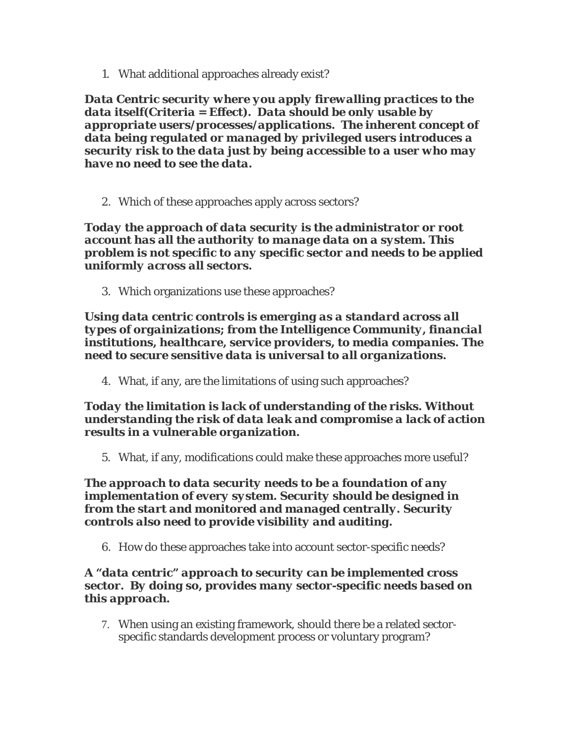1. What additional approaches already exist?

*Data Centric security where you apply firewalling practices to the data itself(Criteria = Effect). Data should be only usable by appropriate users/processes/applications. The inherent concept of data being regulated or managed by privileged users introduces a security risk to the data just by being accessible to a user who may have no need to see the data.*

2. Which of these approaches apply across sectors?

*Today the approach of data security is the administrator or root account has all the authority to manage data on a system. This problem is not specific to any specific sector and needs to be applied uniformly across all sectors.*

3. Which organizations use these approaches?

*Using data centric controls is emerging as a standard across all types of orgainizations; from the Intelligence Community, financial institutions, healthcare, service providers, to media companies. The need to secure sensitive data is universal to all organizations.*

4. What, if any, are the limitations of using such approaches?

## *Today the limitation is lack of understanding of the risks. Without understanding the risk of data leak and compromise a lack of action results in a vulnerable organization.*

5. What, if any, modifications could make these approaches more useful?

*The approach to data security needs to be a foundation of any implementation of every system. Security should be designed in from the start and monitored and managed centrally. Security controls also need to provide visibility and auditing.* 

6. How do these approaches take into account sector-specific needs?

## *A "data centric" approach to security can be implemented cross sector. By doing so, provides many sector-specific needs based on this approach.*

7. When using an existing framework, should there be a related sectorspecific standards development process or voluntary program?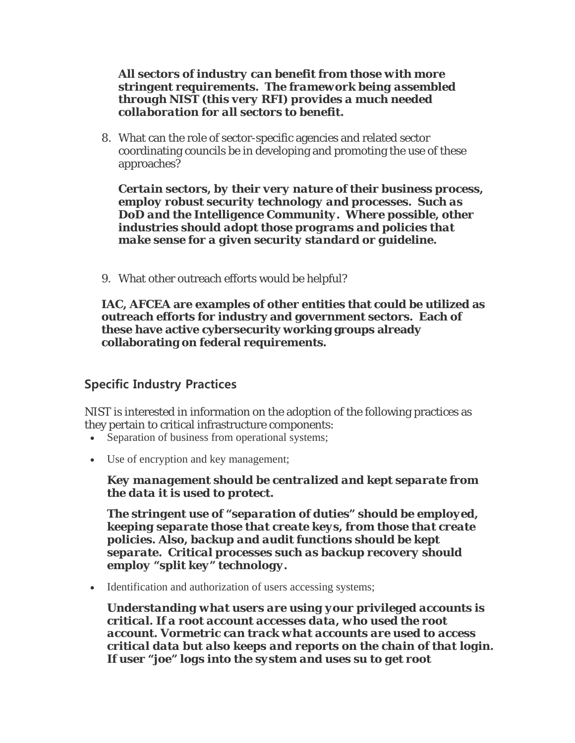#### *All sectors of industry can benefit from those with more stringent requirements. The framework being assembled through NIST (this very RFI) provides a much needed collaboration for all sectors to benefit.*

8. What can the role of sector-specific agencies and related sector coordinating councils be in developing and promoting the use of these approaches?

*Certain sectors, by their very nature of their business process, employ robust security technology and processes. Such as DoD and the Intelligence Community. Where possible, other industries should adopt those programs and policies that make sense for a given security standard or guideline.*

9. What other outreach efforts would be helpful?

**IAC, AFCEA are examples of other entities that could be utilized as outreach efforts for industry and government sectors. Each of these have active cybersecurity working groups already collaborating on federal requirements.**

# **Specific Industry Practices**

NIST is interested in information on the adoption of the following practices as they pertain to critical infrastructure components:

- Separation of business from operational systems;
- Use of encryption and key management;

*Key management should be centralized and kept separate from the data it is used to protect.*

*The stringent use of "separation of duties" should be employed, keeping separate those that create keys, from those that create policies. Also, backup and audit functions should be kept separate. Critical processes such as backup recovery should employ "split key" technology.*

• Identification and authorization of users accessing systems;

*Understanding what users are using your privileged accounts is critical. If a root account accesses data, who used the root account. Vormetric can track what accounts are used to access critical data but also keeps and reports on the chain of that login. If user "joe" logs into the system and uses su to get root*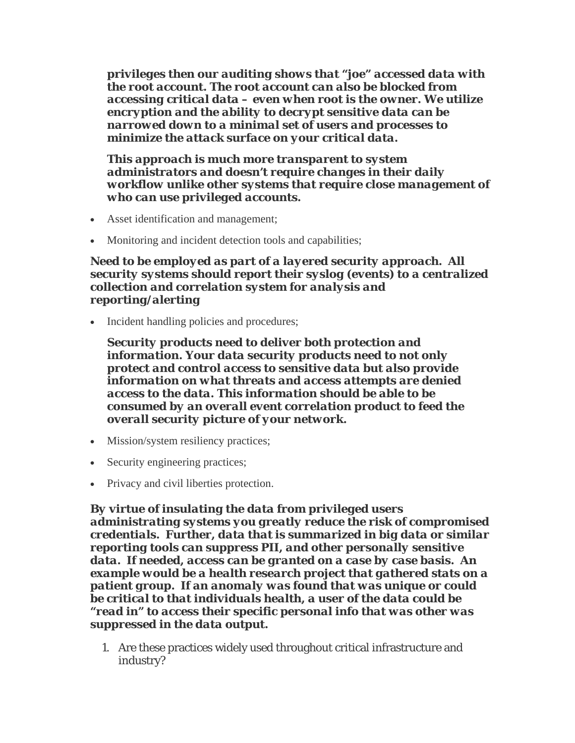*privileges then our auditing shows that "joe" accessed data with the root account. The root account can also be blocked from accessing critical data – even when root is the owner. We utilize encryption and the ability to decrypt sensitive data can be narrowed down to a minimal set of users and processes to minimize the attack surface on your critical data.*

*This approach is much more transparent to system administrators and doesn't require changes in their daily workflow unlike other systems that require close management of who can use privileged accounts.*

- Asset identification and management;
- Monitoring and incident detection tools and capabilities;

*Need to be employed as part of a layered security approach. All security systems should report their syslog (events) to a centralized collection and correlation system for analysis and reporting/alerting*

• Incident handling policies and procedures;

*Security products need to deliver both protection and information. Your data security products need to not only protect and control access to sensitive data but also provide information on what threats and access attempts are denied access to the data. This information should be able to be consumed by an overall event correlation product to feed the overall security picture of your network.*

- Mission/system resiliency practices;
- Security engineering practices;
- Privacy and civil liberties protection.

*By virtue of insulating the data from privileged users administrating systems you greatly reduce the risk of compromised credentials. Further, data that is summarized in big data or similar reporting tools can suppress PII, and other personally sensitive data. If needed, access can be granted on a case by case basis. An example would be a health research project that gathered stats on a patient group. If an anomaly was found that was unique or could be critical to that individuals health, a user of the data could be "read in" to access their specific personal info that was other was suppressed in the data output.*

1. Are these practices widely used throughout critical infrastructure and industry?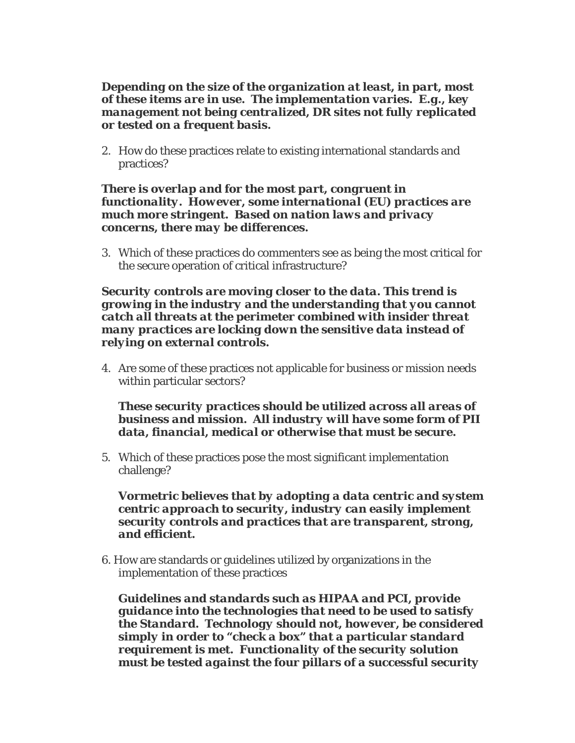#### *Depending on the size of the organization at least, in part, most of these items are in use. The implementation varies. E.g., key management not being centralized, DR sites not fully replicated or tested on a frequent basis.*

2. How do these practices relate to existing international standards and practices?

#### *There is overlap and for the most part, congruent in functionality. However, some international (EU) practices are much more stringent. Based on nation laws and privacy concerns, there may be differences.*

3. Which of these practices do commenters see as being the most critical for the secure operation of critical infrastructure?

#### *Security controls are moving closer to the data. This trend is growing in the industry and the understanding that you cannot catch all threats at the perimeter combined with insider threat many practices are locking down the sensitive data instead of relying on external controls.*

4. Are some of these practices not applicable for business or mission needs within particular sectors?

### *These security practices should be utilized across all areas of business and mission. All industry will have some form of PII data, financial, medical or otherwise that must be secure.*

5. Which of these practices pose the most significant implementation challenge?

#### *Vormetric believes that by adopting a data centric and system centric approach to security, industry can easily implement security controls and practices that are transparent, strong, and efficient.*

6. How are standards or guidelines utilized by organizations in the implementation of these practices

*Guidelines and standards such as HIPAA and PCI, provide guidance into the technologies that need to be used to satisfy the Standard. Technology should not, however, be considered simply in order to "check a box" that a particular standard requirement is met. Functionality of the security solution must be tested against the four pillars of a successful security*